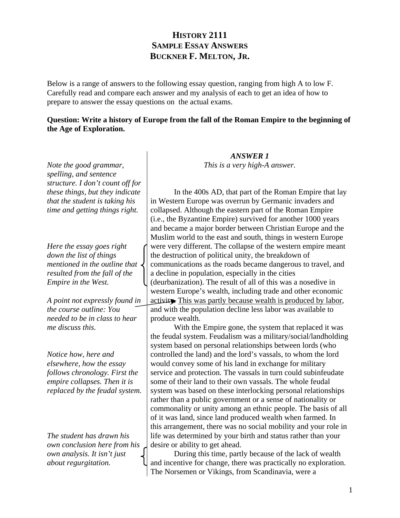## **HISTORY 2111 SAMPLE ESSAY ANSWERS BUCKNER F. MELTON, JR.**

Below is a range of answers to the following essay question, ranging from high A to low F. Carefully read and compare each answer and my analysis of each to get an idea of how to prepare to answer the essay questions on the actual exams.

## **Question: Write a history of Europe from the fall of the Roman Empire to the beginning of the Age of Exploration.**

*ANSWER 1*

*Note the good grammar, spelling, and sentence structure. I don't count off for these things, but they indicate that the student is taking his time and getting things right. Here the essay goes right down the list of things mentioned in the outline that resulted from the fall of the Empire in the West. A point not expressly found in the course outline: You needed to be in class to hear me discuss this. Notice how, here and elsewhere, how the essay follows chronology. First the empire collapses. Then it is replaced by the feudal system. The student has drawn his own conclusion here from his own analysis. It isn't just about regurgitation. This is a very high-A answer.*  In the 400s AD, that part of the Roman Empire that lay in Western Europe was overrun by Germanic invaders and collapsed. Although the eastern part of the Roman Empire (i.e., the Byzantine Empire) survived for another 1000 years and became a major border between Christian Europe and the Muslim world to the east and south, things in western Europe were very different. The collapse of the western empire meant the destruction of political unity, the breakdown of communications as the roads became dangerous to travel, and a decline in population, especially in the cities (deurbanization). The result of all of this was a nosedive in western Europe's wealth, including trade and other economic activity. This was partly because wealth is produced by labor, and with the population decline less labor was available to produce wealth. With the Empire gone, the system that replaced it was the feudal system. Feudalism was a military/social/landholding system based on personal relationships between lords (who controlled the land) and the lord's vassals, to whom the lord would convey some of his land in exchange for military service and protection. The vassals in turn could subinfeudate some of their land to their own vassals. The whole feudal system was based on these interlocking personal relationships rather than a public government or a sense of nationality or commonality or unity among an ethnic people. The basis of all of it was land, since land produced wealth when farmed. In this arrangement, there was no social mobility and your role in life was determined by your birth and status rather than your desire or ability to get ahead. During this time, partly because of the lack of wealth and incentive for change, there was practically no exploration. The Norsemen or Vikings, from Scandinavia, were a

1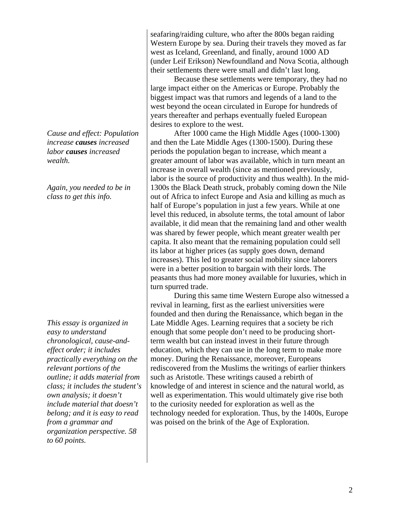*Cause and effect: Population increase causes increased labor causes increased wealth.* 

*Again, you needed to be in class to get this info.* 

*This essay is organized in easy to understand chronological, cause-andeffect order; it includes practically everything on the relevant portions of the outline; it adds material from class; it includes the student's own analysis; it doesn't include material that doesn't belong; and it is easy to read from a grammar and organization perspective. 58 to 60 points.*

seafaring/raiding culture, who after the 800s began raiding Western Europe by sea. During their travels they moved as far west as Iceland, Greenland, and finally, around 1000 AD (under Leif Erikson) Newfoundland and Nova Scotia, although their settlements there were small and didn't last long.

 Because these settlements were temporary, they had no large impact either on the Americas or Europe. Probably the biggest impact was that rumors and legends of a land to the west beyond the ocean circulated in Europe for hundreds of years thereafter and perhaps eventually fueled European desires to explore to the west.

 After 1000 came the High Middle Ages (1000-1300) and then the Late Middle Ages (1300-1500). During these periods the population began to increase, which meant a greater amount of labor was available, which in turn meant an increase in overall wealth (since as mentioned previously, labor is the source of productivity and thus wealth). In the mid-1300s the Black Death struck, probably coming down the Nile out of Africa to infect Europe and Asia and killing as much as half of Europe's population in just a few years. While at one level this reduced, in absolute terms, the total amount of labor available, it did mean that the remaining land and other wealth was shared by fewer people, which meant greater wealth per capita. It also meant that the remaining population could sell its labor at higher prices (as supply goes down, demand increases). This led to greater social mobility since laborers were in a better position to bargain with their lords. The peasants thus had more money available for luxuries, which in turn spurred trade.

 During this same time Western Europe also witnessed a revival in learning, first as the earliest universities were founded and then during the Renaissance, which began in the Late Middle Ages. Learning requires that a society be rich enough that some people don't need to be producing shortterm wealth but can instead invest in their future through education, which they can use in the long term to make more money. During the Renaissance, moreover, Europeans rediscovered from the Muslims the writings of earlier thinkers such as Aristotle. These writings caused a rebirth of knowledge of and interest in science and the natural world, as well as experimentation. This would ultimately give rise both to the curiosity needed for exploration as well as the technology needed for exploration. Thus, by the 1400s, Europe was poised on the brink of the Age of Exploration.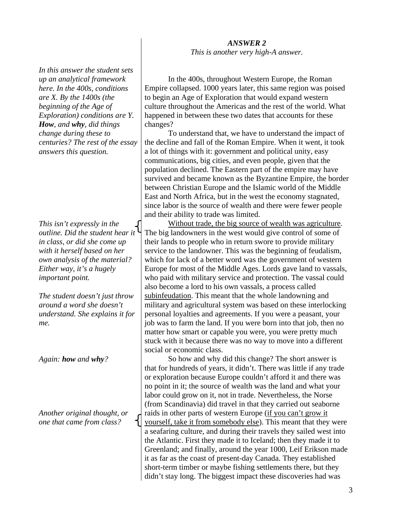*This is another very high-A answer.* 

*In this answer the student sets up an analytical framework here. In the 400s, conditions are X. By the 1400s (the beginning of the Age of Exploration) conditions are Y. How, and why, did things change during these to centuries? The rest of the essay answers this question.* 

*This isn't expressly in the outline. Did the student hear it in class, or did she come up with it herself based on her own analysis of the material? Either way, it's a hugely important point.* 

*The student doesn't just throw around a word she doesn't understand. She explains it for me.* 

*Again: how and why?* 

*Another original thought, or one that came from class?* 

 In the 400s, throughout Western Europe, the Roman Empire collapsed. 1000 years later, this same region was poised to begin an Age of Exploration that would expand western culture throughout the Americas and the rest of the world. What happened in between these two dates that accounts for these changes?

 To understand that, we have to understand the impact of the decline and fall of the Roman Empire. When it went, it took a lot of things with it: government and political unity, easy communications, big cities, and even people, given that the population declined. The Eastern part of the empire may have survived and became known as the Byzantine Empire, the border between Christian Europe and the Islamic world of the Middle East and North Africa, but in the west the economy stagnated, since labor is the source of wealth and there were fewer people and their ability to trade was limited.

 Without trade, the big source of wealth was agriculture. The big landowners in the west would give control of some of their lands to people who in return swore to provide military service to the landowner. This was the beginning of feudalism, which for lack of a better word was the government of western Europe for most of the Middle Ages. Lords gave land to vassals, who paid with military service and protection. The vassal could also become a lord to his own vassals, a process called subinfeudation. This meant that the whole landowning and military and agricultural system was based on these interlocking personal loyalties and agreements. If you were a peasant, your job was to farm the land. If you were born into that job, then no matter how smart or capable you were, you were pretty much stuck with it because there was no way to move into a different social or economic class.

 So how and why did this change? The short answer is that for hundreds of years, it didn't. There was little if any trade or exploration because Europe couldn't afford it and there was no point in it; the source of wealth was the land and what your labor could grow on it, not in trade. Nevertheless, the Norse (from Scandinavia) did travel in that they carried out seaborne raids in other parts of western Europe (if you can't grow it yourself, take it from somebody else). This meant that they were a seafaring culture, and during their travels they sailed west into the Atlantic. First they made it to Iceland; then they made it to Greenland; and finally, around the year 1000, Leif Erikson made it as far as the coast of present-day Canada. They established short-term timber or maybe fishing settlements there, but they didn't stay long. The biggest impact these discoveries had was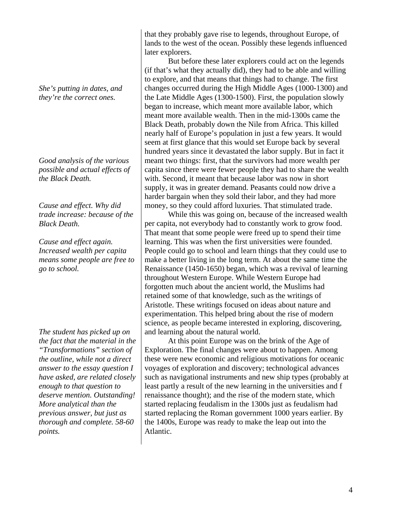*She's putting in dates, and they're the correct ones.* 

*Good analysis of the various possible and actual effects of the Black Death.* 

*Cause and effect. Why did trade increase: because of the Black Death.* 

*Cause and effect again. Increased wealth per capita means some people are free to go to school.* 

*The student has picked up on the fact that the material in the "Transformations" section of the outline, while not a direct answer to the essay question I have asked, are related closely enough to that question to deserve mention. Outstanding! More analytical than the previous answer, but just as thorough and complete. 58-60 points.*

that they probably gave rise to legends, throughout Europe, of lands to the west of the ocean. Possibly these legends influenced later explorers.

 But before these later explorers could act on the legends (if that's what they actually did), they had to be able and willing to explore, and that means that things had to change. The first changes occurred during the High Middle Ages (1000-1300) and the Late Middle Ages (1300-1500). First, the population slowly began to increase, which meant more available labor, which meant more available wealth. Then in the mid-1300s came the Black Death, probably down the Nile from Africa. This killed nearly half of Europe's population in just a few years. It would seem at first glance that this would set Europe back by several hundred years since it devastated the labor supply. But in fact it meant two things: first, that the survivors had more wealth per capita since there were fewer people they had to share the wealth with. Second, it meant that because labor was now in short supply, it was in greater demand. Peasants could now drive a harder bargain when they sold their labor, and they had more money, so they could afford luxuries. That stimulated trade.

 While this was going on, because of the increased wealth per capita, not everybody had to constantly work to grow food. That meant that some people were freed up to spend their time learning. This was when the first universities were founded. People could go to school and learn things that they could use to make a better living in the long term. At about the same time the Renaissance (1450-1650) began, which was a revival of learning throughout Western Europe. While Western Europe had forgotten much about the ancient world, the Muslims had retained some of that knowledge, such as the writings of Aristotle. These writings focused on ideas about nature and experimentation. This helped bring about the rise of modern science, as people became interested in exploring, discovering, and learning about the natural world.

 At this point Europe was on the brink of the Age of Exploration. The final changes were about to happen. Among these were new economic and religious motivations for oceanic voyages of exploration and discovery; technological advances such as navigational instruments and new ship types (probably at least partly a result of the new learning in the universities and f renaissance thought); and the rise of the modern state, which started replacing feudalism in the 1300s just as feudalism had started replacing the Roman government 1000 years earlier. By the 1400s, Europe was ready to make the leap out into the Atlantic.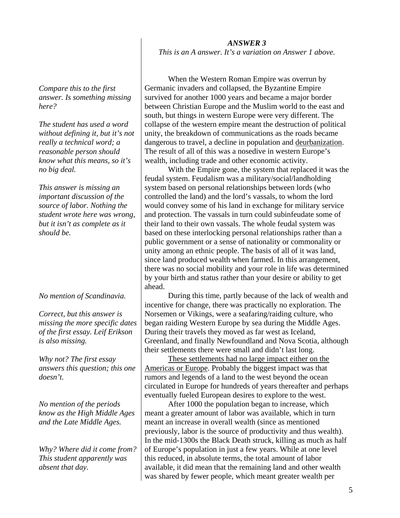*ANSWER 3 This is an A answer. It's a variation on Answer 1 above.* 

*Compare this to the first answer. Is something missing here?* 

*The student has used a word without defining it, but it's not really a technical word; a reasonable person should know what this means, so it's no big deal.* 

*This answer is missing an important discussion of the source of labor. Nothing the student wrote here was wrong, but it isn't as complete as it should be.* 

*No mention of Scandinavia.* 

*Correct, but this answer is missing the more specific dates of the first essay. Leif Erikson is also missing.* 

*Why not? The first essay answers this question; this one doesn't.* 

*No mention of the periods know as the High Middle Ages and the Late Middle Ages.* 

*Why? Where did it come from? This student apparently was absent that day.* 

 When the Western Roman Empire was overrun by Germanic invaders and collapsed, the Byzantine Empire survived for another 1000 years and became a major border between Christian Europe and the Muslim world to the east and south, but things in western Europe were very different. The collapse of the western empire meant the destruction of political unity, the breakdown of communications as the roads became dangerous to travel, a decline in population and deurbanization. The result of all of this was a nosedive in western Europe's wealth, including trade and other economic activity.

 With the Empire gone, the system that replaced it was the feudal system. Feudalism was a military/social/landholding system based on personal relationships between lords (who controlled the land) and the lord's vassals, to whom the lord would convey some of his land in exchange for military service and protection. The vassals in turn could subinfeudate some of their land to their own vassals. The whole feudal system was based on these interlocking personal relationships rather than a public government or a sense of nationality or commonality or unity among an ethnic people. The basis of all of it was land, since land produced wealth when farmed. In this arrangement, there was no social mobility and your role in life was determined by your birth and status rather than your desire or ability to get ahead.

 During this time, partly because of the lack of wealth and incentive for change, there was practically no exploration. The Norsemen or Vikings, were a seafaring/raiding culture, who began raiding Western Europe by sea during the Middle Ages. During their travels they moved as far west as Iceland, Greenland, and finally Newfoundland and Nova Scotia, although their settlements there were small and didn't last long.

 These settlements had no large impact either on the Americas or Europe. Probably the biggest impact was that rumors and legends of a land to the west beyond the ocean circulated in Europe for hundreds of years thereafter and perhaps eventually fueled European desires to explore to the west.

 After 1000 the population began to increase, which meant a greater amount of labor was available, which in turn meant an increase in overall wealth (since as mentioned previously, labor is the source of productivity and thus wealth). In the mid-1300s the Black Death struck, killing as much as half of Europe's population in just a few years. While at one level this reduced, in absolute terms, the total amount of labor available, it did mean that the remaining land and other wealth was shared by fewer people, which meant greater wealth per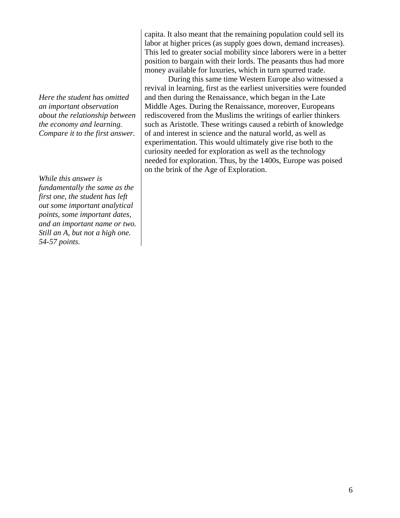*Here the student has omitted an important observation about the relationship between the economy and learning. Compare it to the first answer.* 

*While this answer is fundamentally the same as the first one, the student has left out some important analytical points, some important dates, and an important name or two. Still an A, but not a high one. 54-57 points.* 

capita. It also meant that the remaining population could sell its labor at higher prices (as supply goes down, demand increases). This led to greater social mobility since laborers were in a better position to bargain with their lords. The peasants thus had more money available for luxuries, which in turn spurred trade.

 During this same time Western Europe also witnessed a revival in learning, first as the earliest universities were founded and then during the Renaissance, which began in the Late Middle Ages. During the Renaissance, moreover, Europeans rediscovered from the Muslims the writings of earlier thinkers such as Aristotle. These writings caused a rebirth of knowledge of and interest in science and the natural world, as well as experimentation. This would ultimately give rise both to the curiosity needed for exploration as well as the technology needed for exploration. Thus, by the 1400s, Europe was poised on the brink of the Age of Exploration.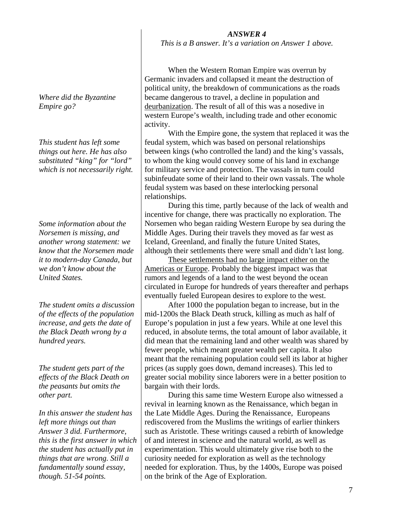## *ANSWER 4*

*This is a B answer. It's a variation on Answer 1 above.* 

 When the Western Roman Empire was overrun by Germanic invaders and collapsed it meant the destruction of political unity, the breakdown of communications as the roads became dangerous to travel, a decline in population and deurbanization. The result of all of this was a nosedive in western Europe's wealth, including trade and other economic activity.

 With the Empire gone, the system that replaced it was the feudal system, which was based on personal relationships between kings (who controlled the land) and the king's vassals, to whom the king would convey some of his land in exchange for military service and protection. The vassals in turn could subinfeudate some of their land to their own vassals. The whole feudal system was based on these interlocking personal relationships.

 During this time, partly because of the lack of wealth and incentive for change, there was practically no exploration. The Norsemen who began raiding Western Europe by sea during the Middle Ages. During their travels they moved as far west as Iceland, Greenland, and finally the future United States, although their settlements there were small and didn't last long.

 These settlements had no large impact either on the Americas or Europe. Probably the biggest impact was that rumors and legends of a land to the west beyond the ocean circulated in Europe for hundreds of years thereafter and perhaps eventually fueled European desires to explore to the west.

 After 1000 the population began to increase, but in the mid-1200s the Black Death struck, killing as much as half of Europe's population in just a few years. While at one level this reduced, in absolute terms, the total amount of labor available, it did mean that the remaining land and other wealth was shared by fewer people, which meant greater wealth per capita. It also meant that the remaining population could sell its labor at higher prices (as supply goes down, demand increases). This led to greater social mobility since laborers were in a better position to bargain with their lords.

 During this same time Western Europe also witnessed a revival in learning known as the Renaissance, which began in the Late Middle Ages. During the Renaissance, Europeans rediscovered from the Muslims the writings of earlier thinkers such as Aristotle. These writings caused a rebirth of knowledge of and interest in science and the natural world, as well as experimentation. This would ultimately give rise both to the curiosity needed for exploration as well as the technology needed for exploration. Thus, by the 1400s, Europe was poised on the brink of the Age of Exploration.

*Where did the Byzantine Empire go?* 

*This student has left some things out here. He has also substituted "king" for "lord" which is not necessarily right.* 

*Some information about the Norsemen is missing, and another wrong statement: we know that the Norsemen made it to modern-day Canada, but we don't know about the United States.* 

*The student omits a discussion of the effects of the population increase, and gets the date of the Black Death wrong by a hundred years.* 

*The student gets part of the effects of the Black Death on the peasants but omits the other part.* 

*In this answer the student has left more things out than Answer 3 did. Furthermore, this is the first answer in which the student has actually put in things that are wrong. Still a fundamentally sound essay, though. 51-54 points.*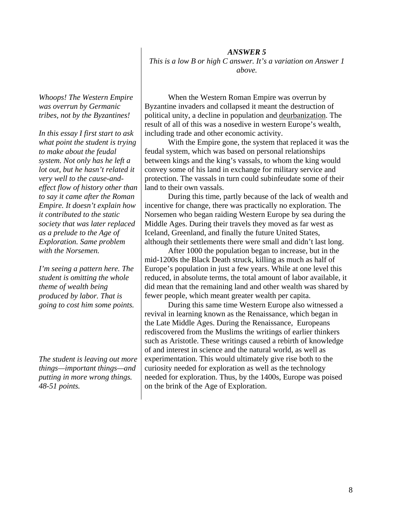*ANSWER 5 This is a low B or high C answer. It's a variation on Answer 1 above.* 

*Whoops! The Western Empire was overrun by Germanic tribes, not by the Byzantines!* 

*In this essay I first start to ask what point the student is trying to make about the feudal system. Not only has he left a lot out, but he hasn't related it very well to the cause-andeffect flow of history other than to say it came after the Roman Empire. It doesn't explain how it contributed to the static society that was later replaced as a prelude to the Age of Exploration. Same problem with the Norsemen.* 

*I'm seeing a pattern here. The student is omitting the whole theme of wealth being produced by labor. That is going to cost him some points.* 

*The student is leaving out more things—important things—and putting in more wrong things. 48-51 points.*

 When the Western Roman Empire was overrun by Byzantine invaders and collapsed it meant the destruction of political unity, a decline in population and deurbanization. The result of all of this was a nosedive in western Europe's wealth, including trade and other economic activity.

 With the Empire gone, the system that replaced it was the feudal system, which was based on personal relationships between kings and the king's vassals, to whom the king would convey some of his land in exchange for military service and protection. The vassals in turn could subinfeudate some of their land to their own vassals.

 During this time, partly because of the lack of wealth and incentive for change, there was practically no exploration. The Norsemen who began raiding Western Europe by sea during the Middle Ages. During their travels they moved as far west as Iceland, Greenland, and finally the future United States, although their settlements there were small and didn't last long.

 After 1000 the population began to increase, but in the mid-1200s the Black Death struck, killing as much as half of Europe's population in just a few years. While at one level this reduced, in absolute terms, the total amount of labor available, it did mean that the remaining land and other wealth was shared by fewer people, which meant greater wealth per capita.

 During this same time Western Europe also witnessed a revival in learning known as the Renaissance, which began in the Late Middle Ages. During the Renaissance, Europeans rediscovered from the Muslims the writings of earlier thinkers such as Aristotle. These writings caused a rebirth of knowledge of and interest in science and the natural world, as well as experimentation. This would ultimately give rise both to the curiosity needed for exploration as well as the technology needed for exploration. Thus, by the 1400s, Europe was poised on the brink of the Age of Exploration.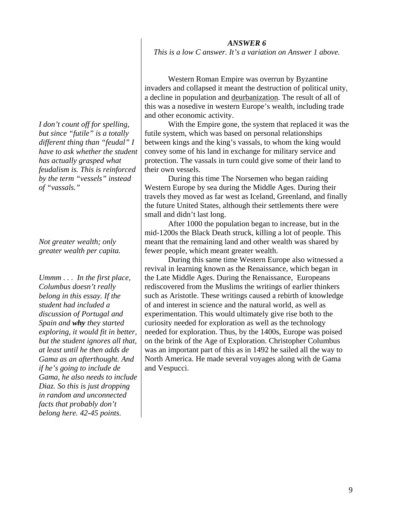*This is a low C answer. It's a variation on Answer 1 above.* 

 Western Roman Empire was overrun by Byzantine invaders and collapsed it meant the destruction of political unity, a decline in population and deurbanization. The result of all of this was a nosedive in western Europe's wealth, including trade and other economic activity.

 With the Empire gone, the system that replaced it was the futile system, which was based on personal relationships between kings and the king's vassals, to whom the king would convey some of his land in exchange for military service and protection. The vassals in turn could give some of their land to their own vessels.

 During this time The Norsemen who began raiding Western Europe by sea during the Middle Ages. During their travels they moved as far west as Iceland, Greenland, and finally the future United States, although their settlements there were small and didn't last long.

 After 1000 the population began to increase, but in the mid-1200s the Black Death struck, killing a lot of people. This meant that the remaining land and other wealth was shared by fewer people, which meant greater wealth.

 During this same time Western Europe also witnessed a revival in learning known as the Renaissance, which began in the Late Middle Ages. During the Renaissance, Europeans rediscovered from the Muslims the writings of earlier thinkers such as Aristotle. These writings caused a rebirth of knowledge of and interest in science and the natural world, as well as experimentation. This would ultimately give rise both to the curiosity needed for exploration as well as the technology needed for exploration. Thus, by the 1400s, Europe was poised on the brink of the Age of Exploration. Christopher Columbus was an important part of this as in 1492 he sailed all the way to North America. He made several voyages along with de Gama and Vespucci.

*I don't count off for spelling, but since "futile" is a totally different thing than "feudal" I have to ask whether the student has actually grasped what feudalism is. This is reinforced by the term "vessels" instead of "vassals."* 

*Not greater wealth; only greater wealth per capita.* 

*Ummm . . . In the first place, Columbus doesn't really belong in this essay. If the student had included a discussion of Portugal and Spain and why they started exploring, it would fit in better, but the student ignores all that, at least until he then adds de Gama as an afterthought. And if he's going to include de Gama, he also needs to include Diaz. So this is just dropping in random and unconnected facts that probably don't belong here. 42-45 points.*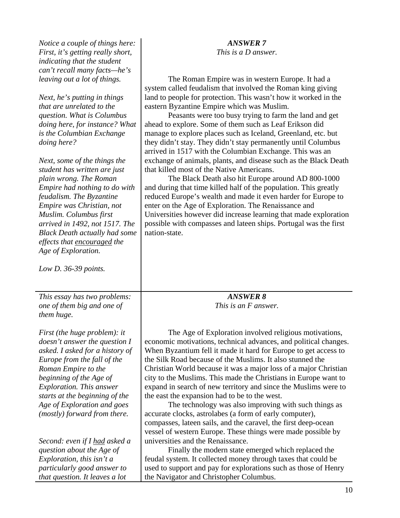| Notice a couple of things here:<br>First, it's getting really short,<br>indicating that the student<br>can't recall many facts-he's<br>leaving out a lot of things.<br>Next, he's putting in things<br>that are unrelated to the<br>question. What is Columbus<br>doing here, for instance? What<br>is the Columbian Exchange<br>doing here?<br>Next, some of the things the<br>student has written are just<br>plain wrong. The Roman<br>Empire had nothing to do with<br>feudalism. The Byzantine<br>Empire was Christian, not<br>Muslim. Columbus first<br>arrived in 1492, not 1517. The<br><b>Black Death actually had some</b><br>effects that encouraged the | <b>ANSWER 7</b><br>This is a D answer.<br>The Roman Empire was in western Europe. It had a<br>system called feudalism that involved the Roman king giving<br>land to people for protection. This wasn't how it worked in the<br>eastern Byzantine Empire which was Muslim.<br>Peasants were too busy trying to farm the land and get<br>ahead to explore. Some of them such as Leaf Erikson did<br>manage to explore places such as Iceland, Greenland, etc. but<br>they didn't stay. They didn't stay permanently until Columbus<br>arrived in 1517 with the Columbian Exchange. This was an<br>exchange of animals, plants, and disease such as the Black Death<br>that killed most of the Native Americans.<br>The Black Death also hit Europe around AD 800-1000<br>and during that time killed half of the population. This greatly<br>reduced Europe's wealth and made it even harder for Europe to<br>enter on the Age of Exploration. The Renaissance and<br>Universities however did increase learning that made exploration<br>possible with compasses and lateen ships. Portugal was the first<br>nation-state. |
|---------------------------------------------------------------------------------------------------------------------------------------------------------------------------------------------------------------------------------------------------------------------------------------------------------------------------------------------------------------------------------------------------------------------------------------------------------------------------------------------------------------------------------------------------------------------------------------------------------------------------------------------------------------------|----------------------------------------------------------------------------------------------------------------------------------------------------------------------------------------------------------------------------------------------------------------------------------------------------------------------------------------------------------------------------------------------------------------------------------------------------------------------------------------------------------------------------------------------------------------------------------------------------------------------------------------------------------------------------------------------------------------------------------------------------------------------------------------------------------------------------------------------------------------------------------------------------------------------------------------------------------------------------------------------------------------------------------------------------------------------------------------------------------------------------|
| Age of Exploration.<br>Low D. $36-39$ points.                                                                                                                                                                                                                                                                                                                                                                                                                                                                                                                                                                                                                       |                                                                                                                                                                                                                                                                                                                                                                                                                                                                                                                                                                                                                                                                                                                                                                                                                                                                                                                                                                                                                                                                                                                            |
| This essay has two problems:                                                                                                                                                                                                                                                                                                                                                                                                                                                                                                                                                                                                                                        | <b>ANSWER 8</b>                                                                                                                                                                                                                                                                                                                                                                                                                                                                                                                                                                                                                                                                                                                                                                                                                                                                                                                                                                                                                                                                                                            |
| one of them big and one of<br>them huge.                                                                                                                                                                                                                                                                                                                                                                                                                                                                                                                                                                                                                            | This is an F answer.                                                                                                                                                                                                                                                                                                                                                                                                                                                                                                                                                                                                                                                                                                                                                                                                                                                                                                                                                                                                                                                                                                       |
| First (the huge problem): it<br><i>doesn't answer the question I</i><br>asked. I asked for a history of<br>Europe from the fall of the<br>Roman Empire to the<br>beginning of the Age of<br><b>Exploration. This answer</b><br>starts at the beginning of the<br>Age of Exploration and goes<br>(mostly) forward from there.                                                                                                                                                                                                                                                                                                                                        | The Age of Exploration involved religious motivations,<br>economic motivations, technical advances, and political changes.<br>When Byzantium fell it made it hard for Europe to get access to<br>the Silk Road because of the Muslims. It also stunned the<br>Christian World because it was a major loss of a major Christian<br>city to the Muslims. This made the Christians in Europe want to<br>expand in search of new territory and since the Muslims were to<br>the east the expansion had to be to the west.<br>The technology was also improving with such things as<br>accurate clocks, astrolabes (a form of early computer),<br>compasses, lateen sails, and the caravel, the first deep-ocean<br>vessel of western Europe. These things were made possible by                                                                                                                                                                                                                                                                                                                                                |
| Second: even if I <u>had</u> asked a<br>question about the Age of<br>Exploration, this isn't a<br>particularly good answer to<br>that question. It leaves a lot                                                                                                                                                                                                                                                                                                                                                                                                                                                                                                     | universities and the Renaissance.<br>Finally the modern state emerged which replaced the<br>feudal system. It collected money through taxes that could be<br>used to support and pay for explorations such as those of Henry<br>the Navigator and Christopher Columbus.                                                                                                                                                                                                                                                                                                                                                                                                                                                                                                                                                                                                                                                                                                                                                                                                                                                    |